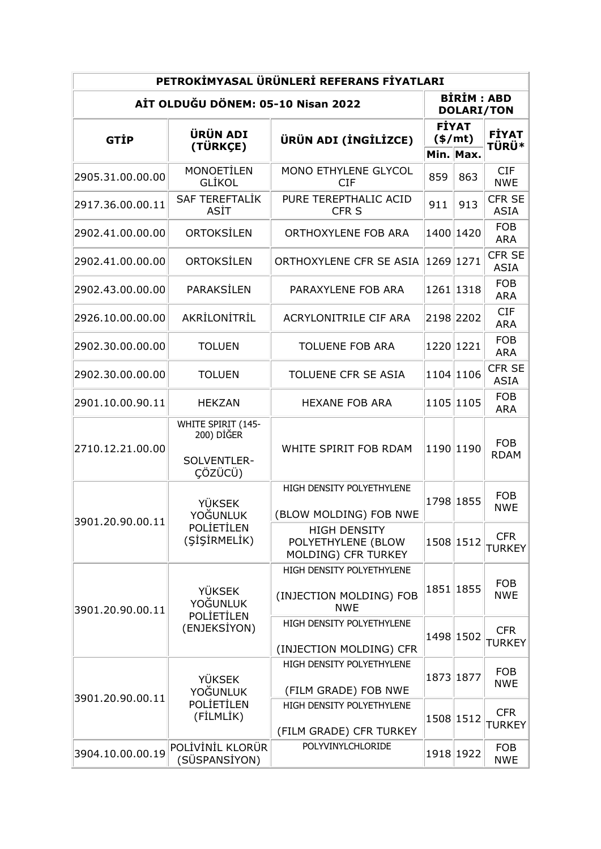| PETROKİMYASAL ÜRÜNLERİ REFERANS FİYATLARI |                                                                |                                                                    |                                      |                                        |                              |  |  |  |
|-------------------------------------------|----------------------------------------------------------------|--------------------------------------------------------------------|--------------------------------------|----------------------------------------|------------------------------|--|--|--|
| AİT OLDUĞU DÖNEM: 05-10 Nisan 2022        |                                                                |                                                                    |                                      | <b>BIRIM: ABD</b><br><b>DOLARI/TON</b> |                              |  |  |  |
| <b>GTIP</b>                               | ÜRÜN ADI<br>(TÜRKÇE)                                           | ÜRÜN ADI (İNGİLİZCE)                                               | <b>FİYAT</b><br>(\$/mt)<br>Min. Max. |                                        | <b>FİYAT</b><br><b>TÜRÜ*</b> |  |  |  |
| 2905.31.00.00.00                          | <b>MONOETİLEN</b><br><b>GLIKOL</b>                             | MONO ETHYLENE GLYCOL<br><b>CIF</b>                                 | 859                                  | 863                                    | <b>CIF</b><br><b>NWE</b>     |  |  |  |
| 2917.36.00.00.11                          | <b>SAF TEREFTALIK</b><br>ASİT                                  | PURE TEREPTHALIC ACID<br>CFR <sub>S</sub>                          | 911                                  | 913                                    | <b>CFR SE</b><br><b>ASIA</b> |  |  |  |
| 2902.41.00.00.00                          | ORTOKSİLEN                                                     | ORTHOXYLENE FOB ARA                                                |                                      | 1400 1420                              | <b>FOB</b><br><b>ARA</b>     |  |  |  |
| 2902.41.00.00.00                          | ORTOKSİLEN                                                     | ORTHOXYLENE CFR SE ASIA                                            |                                      | 1269 1271                              | <b>CFR SE</b><br><b>ASIA</b> |  |  |  |
| 2902.43.00.00.00                          | PARAKSİLEN                                                     | PARAXYLENE FOB ARA                                                 |                                      | 1261 1318                              | <b>FOB</b><br><b>ARA</b>     |  |  |  |
| 2926.10.00.00.00                          | AKRİLONİTRİL                                                   | ACRYLONITRILE CIF ARA                                              |                                      | 2198 2202                              | <b>CIF</b><br><b>ARA</b>     |  |  |  |
| 2902.30.00.00.00                          | <b>TOLUEN</b>                                                  | <b>TOLUENE FOB ARA</b>                                             |                                      | 1220 1221                              | <b>FOB</b><br><b>ARA</b>     |  |  |  |
| 2902.30.00.00.00                          | <b>TOLUEN</b>                                                  | TOLUENE CFR SE ASIA                                                |                                      | 1104 1106                              | <b>CFR SE</b><br><b>ASIA</b> |  |  |  |
| 2901.10.00.90.11                          | <b>HEKZAN</b>                                                  | <b>HEXANE FOB ARA</b>                                              |                                      | 1105 1105                              | <b>FOB</b><br><b>ARA</b>     |  |  |  |
| 2710.12.21.00.00                          | WHITE SPIRIT (145-<br>200) DİĞER<br>SOLVENTLER-<br>ÇÖZÜCÜ)     | WHITE SPIRIT FOB RDAM                                              |                                      | 1190 1190                              | <b>FOB</b><br><b>RDAM</b>    |  |  |  |
| 3901.20.90.00.11                          | YÜKSEK<br>YOĞUNLUK<br><b>POLIETILEN</b><br>(SİSİRMELİK)        | HIGH DENSITY POLYETHYLENE<br>(BLOW MOLDING) FOB NWE                |                                      | 1798 1855                              | <b>FOB</b><br><b>NWE</b>     |  |  |  |
|                                           |                                                                | <b>HIGH DENSITY</b><br>POLYETHYLENE (BLOW<br>MOLDING) CFR TURKEY   |                                      | 1508 1512                              | <b>CFR</b><br><b>TURKEY</b>  |  |  |  |
| 3901.20.90.00.11                          | <b>YÜKSEK</b><br>YOĞUNLUK<br><b>POLIETILEN</b><br>(ENJEKSİYON) | HIGH DENSITY POLYETHYLENE<br>(INJECTION MOLDING) FOB<br><b>NWE</b> |                                      | 1851 1855                              | <b>FOB</b><br><b>NWE</b>     |  |  |  |
|                                           |                                                                | HIGH DENSITY POLYETHYLENE<br>(INJECTION MOLDING) CFR               |                                      | 1498 1502                              | <b>CFR</b><br><b>TURKEY</b>  |  |  |  |
| 3901.20.90.00.11                          | <b>YÜKSEK</b><br>YOĞUNLUK<br>POLİETİLEN<br>(FİLMLİK)           | HIGH DENSITY POLYETHYLENE<br>(FILM GRADE) FOB NWE                  |                                      | 1873 1877                              | <b>FOB</b><br><b>NWE</b>     |  |  |  |
|                                           |                                                                | HIGH DENSITY POLYETHYLENE<br>(FILM GRADE) CFR TURKEY               |                                      | 1508 1512                              | <b>CFR</b><br><b>TURKEY</b>  |  |  |  |
| 3904.10.00.00.19                          | POLİVİNİL KLORÜR<br>(SÜSPANSİYON)                              | POLYVINYLCHLORIDE                                                  |                                      | 1918 1922                              | <b>FOB</b><br><b>NWE</b>     |  |  |  |